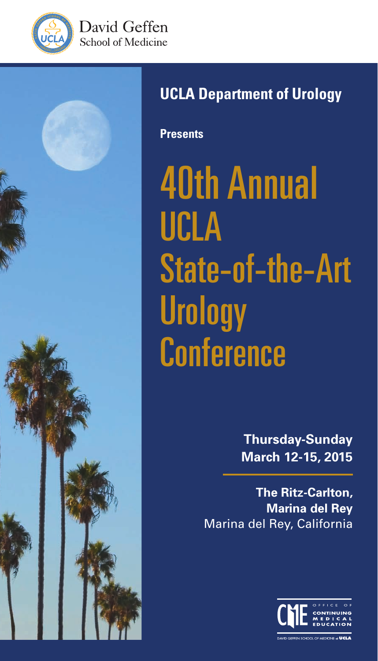





### **UCLA Department of Urology**

**Presents**

40th Annual UCLA State-of-the-Art **Urology Conference** 

> **Thursday-Sunday March 12-15, 2015**

**The Ritz-Carlton, Marina del Rey** Marina del Rey, California

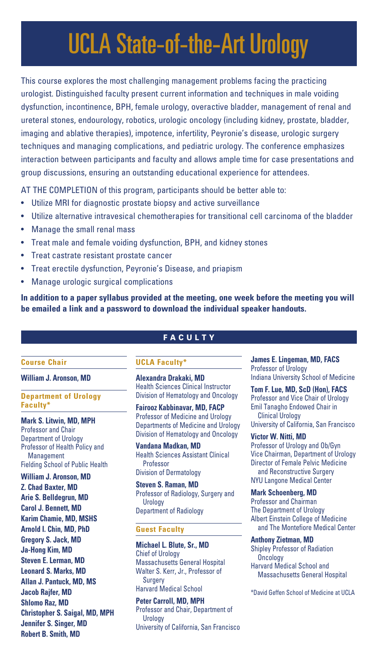## UCLA State-of-the-Art Urology

This course explores the most challenging management problems facing the practicing urologist. Distinguished faculty present current information and techniques in male voiding dysfunction, incontinence, BPH, female urology, overactive bladder, management of renal and ureteral stones, endourology, robotics, urologic oncology (including kidney, prostate, bladder, imaging and ablative therapies), impotence, infertility, Peyronie's disease, urologic surgery techniques and managing complications, and pediatric urology. The conference emphasizes interaction between participants and faculty and allows ample time for case presentations and group discussions, ensuring an outstanding educational experience for attendees.

AT THE COMPLETION of this program, participants should be better able to:

- Utilize MRI for diagnostic prostate biopsy and active surveillance
- Utilize alternative intravesical chemotherapies for transitional cell carcinoma of the bladder
- Manage the small renal mass
- Treat male and female voiding dysfunction, BPH, and kidney stones
- Treat castrate resistant prostate cancer
- Treat erectile dysfunction, Peyronie's Disease, and priapism
- Manage urologic surgical complications

**In addition to a paper syllabus provided at the meeting, one week before the meeting you will be emailed a link and a password to download the individual speaker handouts.**

#### **FACULTY**

#### **Course Chair**

**William J. Aronson, MD**

**Department of Urology Faculty\***

**Mark S. Litwin, MD, MPH** Professor and Chair Department of Urology Professor of Health Policy and Management Fielding School of Public Health **William J. Aronson, MD Z. Chad Baxter, MD Arie S. Belldegrun, MD Carol J. Bennett, MD Karim Chamie, MD, MSHS Arnold I. Chin, MD, PhD Gregory S. Jack, MD Ja-Hong Kim, MD Steven E. Lerman, MD Leonard S. Marks, MD Allan J. Pantuck, MD, MS Jacob Rajfer, MD Shlomo Raz, MD Christopher S. Saigal, MD, MPH Jennifer S. Singer, MD Robert B. Smith, MD**

#### **UCLA Faculty\***

**Alexandra Drakaki, MD** Health Sciences Clinical Instructor Division of Hematology and Oncology

**Fairooz Kabbinavar, MD, FACP** Professor of Medicine and Urology Departments of Medicine and Urology Division of Hematology and Oncology

**Vandana Madkan, MD** Health Sciences Assistant Clinical Professor

Division of Dermatology

**Steven S. Raman, MD** Professor of Radiology, Surgery and Urology Department of Radiology

#### **Guest Faculty**

**Michael L. Blute, Sr., MD** Chief of Urology Massachusetts General Hospital Walter S. Kerr, Jr., Professor of Surgery Harvard Medical School

**Peter Carroll, MD, MPH** Professor and Chair, Department of **Urology** University of California, San Francisco

**James E. Lingeman, MD, FACS** Professor of Urology Indiana University School of Medicine

**Tom F. Lue, MD, ScD (Hon), FACS** Professor and Vice Chair of Urology Emil Tanagho Endowed Chair in Clinical Urology University of California, San Francisco

#### **Victor W. Nitti, MD** Professor of Urology and Ob/Gyn Vice Chairman, Department of Urology Director of Female Pelvic Medicine and Reconstructive Surgery

NYU Langone Medical Center

**Mark Schoenberg, MD** Professor and Chairman The Department of Urology Albert Einstein College of Medicine and The Montefiore Medical Center

**Anthony Zietman, MD** Shipley Professor of Radiation **Oncology** Harvard Medical School and Massachusetts General Hospital

\*David Geffen School of Medicine at UCLA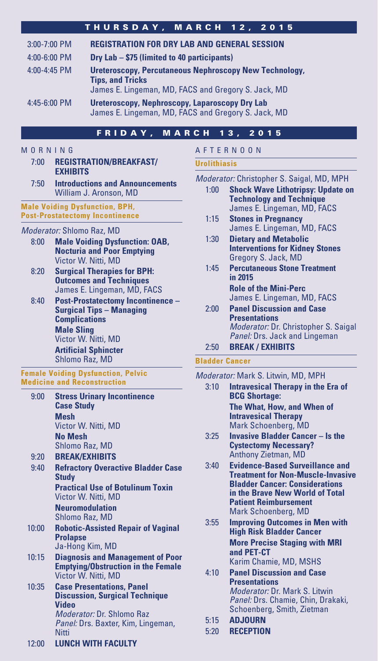#### THURSDAY, MARCH 12, 2015

| 3:00-7:00 PM     | <b>REGISTRATION FOR DRY LAB AND GENERAL SESSION</b>                                                                                             |
|------------------|-------------------------------------------------------------------------------------------------------------------------------------------------|
| 4:00-6:00 PM     | Dry Lab - \$75 (limited to 40 participants)                                                                                                     |
| $4:00 - 4:45$ PM | <b>Ureteroscopy, Percutaneous Nephroscopy New Technology,</b><br><b>Tips, and Tricks</b><br>James E. Lingeman, MD, FACS and Gregory S. Jack, MD |
| $4:45-6:00$ PM   | Ureteroscopy, Nephroscopy, Laparoscopy Dry Lab<br>James E. Lingeman, MD, FACS and Gregory S. Jack, MD                                           |

#### FRIDAY, MARCH 13, 2015

#### MORNING

- 7:00 **REGISTRATION/BREAKFAST/ EXHIBITS**
- 7:50 **Introductions and Announcements** William J. Aronson, MD

#### **Male Voiding Dysfunction, BPH, Post-Prostatectomy Incontinence**

#### *Moderator:* Shlomo Raz, MD

- 8:00 **Male Voiding Dysfunction: OAB, Nocturia and Poor Emptying** Victor W. Nitti, MD
- 8:20 **Surgical Therapies for BPH: Outcomes and Techniques**  James E. Lingeman, MD, FACS
- 8:40 **Post-Prostatectomy Incontinence Surgical Tips – Managing Complications Male Sling** Victor W. Nitti, MD **Artificial Sphincter** Shlomo Raz, MD

#### **Female Voiding Dysfunction, Pelvic Medicine and Reconstruction**

- 9:00 **Stress Urinary Incontinence Case Study Mesh** Victor W. Nitti, MD **No Mesh** Shlomo Raz, MD 9:20 **BREAK/EXHIBITS**
- 9:40 **Refractory Overactive Bladder Case Study Practical Use of Botulinum Toxin** Victor W. Nitti, MD

 **Neuromodulation** Shlomo Raz, MD

- 10:00 **Robotic-Assisted Repair of Vaginal Prolapse** Ja-Hong Kim, MD
- 10:15 **Diagnosis and Management of Poor Emptying/Obstruction in the Female** Victor W. Nitti, MD
- 10:35 **Case Presentations, Panel Discussion, Surgical Technique Video** *Moderator:* Dr. Shlomo Raz *Panel:* Drs. Baxter, Kim, Lingeman, **Nitti**

#### 12:00 **LUNCH WITH FACULTY**

#### AFTERNOON

#### **Urolithiasis**

*Moderator:* Christopher S. Saigal, MD, MPH

- 1:00 **Shock Wave Lithotripsy: Update on Technology and Technique** James E. Lingeman, MD, FACS
- 1:15 **Stones in Pregnancy** James E. Lingeman, MD, FACS 1:30 **Dietary and Metabolic**
- **Interventions for Kidney Stones** Gregory S. Jack, MD
- 1:45 **Percutaneous Stone Treatment in 2015 Role of the Mini-Perc**
- James E. Lingeman, MD, FACS 2:00 **Panel Discussion and Case Presentations** *Moderator:* Dr. Christopher S. Saigal *Panel:* Drs. Jack and Lingeman
- 2:50 **BREAK / EXHIBITS**

#### **Bladder Cancer**

- *Moderator:* Mark S. Litwin, MD, MPH
	- 3:10 **Intravesical Therapy in the Era of BCG Shortage: The What, How, and When of Intravesical Therapy** Mark Schoenberg, MD
	- 3:25 **Invasive Bladder Cancer Is the Cystectomy Necessary?** Anthony Zietman, MD
	- 3:40 **Evidence-Based Surveillance and Treatment for Non-Muscle-Invasive Bladder Cancer: Considerations in the Brave New World of Total Patient Reimbursement** Mark Schoenberg, MD
	- 3:55 **Improving Outcomes in Men with High Risk Bladder Cancer More Precise Staging with MRI and PET-CT** Karim Chamie, MD, MSHS
	- 4:10 **Panel Discussion and Case Presentations** *Moderator:* Dr. Mark S. Litwin *Panel:* Drs. Chamie, Chin, Drakaki, Schoenberg, Smith, Zietman
	- 5:15 **ADJOURN**
	- 5:20 **RECEPTION**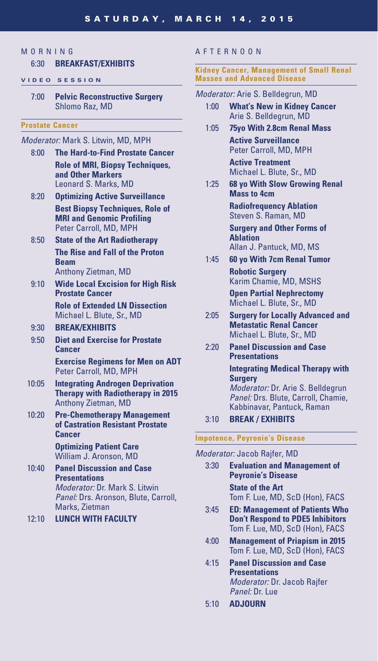#### **MORNING**

#### 6:30 **BREAKFAST/EXHIBITS**

#### **VIDEO SESSION**

7:00 **Pelvic Reconstructive Surgery** Shlomo Raz, MD

#### **Prostate Cancer**

#### *Moderator:* Mark S. Litwin, MD, MPH

- 8:00 **The Hard-to-Find Prostate Cancer Role of MRI, Biopsy Techniques, and Other Markers** Leonard S. Marks, MD
- 8:20 **Optimizing Active Surveillance Best Biopsy Techniques, Role of MRI and Genomic Profiling** Peter Carroll, MD, MPH
- 8:50 **State of the Art Radiotherapy The Rise and Fall of the Proton Beam** Anthony Zietman, MD
- 9:10 **Wide Local Excision for High Risk Prostate Cancer Role of Extended LN Dissection**

Michael L. Blute, Sr., MD

#### 9:30 **BREAK/EXHIBITS**

9:50 **Diet and Exercise for Prostate Cancer**

 **Exercise Regimens for Men on ADT** Peter Carroll, MD, MPH

- 10:05 **Integrating Androgen Deprivation Therapy with Radiotherapy in 2015** Anthony Zietman, MD
- 10:20 **Pre-Chemotherapy Management of Castration Resistant Prostate Cancer**

 **Optimizing Patient Care** William J. Aronson, MD

10:40 **Panel Discussion and Case Presentations** *Moderator:* Dr. Mark S. Litwin *Panel:* Drs. Aronson, Blute, Carroll, Marks, Zietman

12:10 **LUNCH WITH FACULTY**

#### AFTERNOON

#### **Kidney Cancer, Management of Small Renal Masses and Advanced Disease**

#### *Moderator:* Arie S. Belldegrun, MD

- 1:00 **What's New in Kidney Cancer** Arie S. Belldegrun, MD
- 1:05 **75yo With 2.8cm Renal Mass Active Surveillance** Peter Carroll, MD, MPH **Active Treatment**

Michael L. Blute, Sr., MD

1:25 **68 yo With Slow Growing Renal Mass to 4cm**

> **Radiofrequency Ablation** Steven S. Raman, MD **Surgery and Other Forms of Ablation** Allan J. Pantuck, MD, MS

1:45 **60 yo With 7cm Renal Tumor Robotic Surgery** Karim Chamie, MD, MSHS **Open Partial Nephrectomy** Michael L. Blute, Sr., MD

- 2:05 **Surgery for Locally Advanced and Metastatic Renal Cancer** Michael L. Blute, Sr., MD
- 2:20 **Panel Discussion and Case Presentations**

#### **Integrating Medical Therapy with Surgery**

*Moderator:* Dr. Arie S. Belldegrun *Panel:* Drs. Blute, Carroll, Chamie, Kabbinavar, Pantuck, Raman

3:10 **BREAK / EXHIBITS**

#### **Impotence, Peyronie's Disease**

#### *Moderator:* Jacob Rajfer, MD

- 3:30 **Evaluation and Management of Peyronie's Disease State of the Art** Tom F. Lue, MD, ScD (Hon), FACS
- 3:45 **ED: Management of Patients Who Don't Respond to PDE5 Inhibitors** Tom F. Lue, MD, ScD (Hon), FACS
- 4:00 **Management of Priapism in 2015** Tom F. Lue, MD, ScD (Hon), FACS
- 4:15 **Panel Discussion and Case Presentations** *Moderator:* Dr. Jacob Rajfer *Panel:* Dr. Lue
- 5:10 **ADJOURN**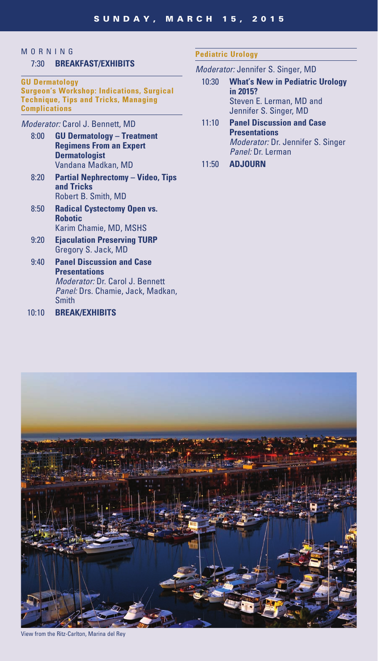#### **MORNING**

#### 7:30 **BREAKFAST/EXHIBITS**

#### **GU Dermatology Surgeon's Workshop: Indications, Surgical Technique, Tips and Tricks, Managing Complications**

#### *Moderator:* Carol J. Bennett, MD

- 8:00 **GU Dermatology Treatment Regimens From an Expert Dermatologist** Vandana Madkan, MD
- 8:20 **Partial Nephrectomy Video, Tips and Tricks** Robert B. Smith, MD
- 8:50 **Radical Cystectomy Open vs. Robotic** Karim Chamie, MD, MSHS
- 9:20 **Ejaculation Preserving TURP** Gregory S. Jack, MD
- 9:40 **Panel Discussion and Case Presentations** *Moderator:* Dr. Carol J. Bennett *Panel:* Drs. Chamie, Jack, Madkan, **Smith**
- 10:10 **BREAK/EXHIBITS**

#### **Pediatric Urology**

#### *Moderator:* Jennifer S. Singer, MD

- 10:30 **What's New in Pediatric Urology in 2015?** Steven E. Lerman, MD and Jennifer S. Singer, MD
- 11:10 **Panel Discussion and Case Presentations** *Moderator:* Dr. Jennifer S. Singer *Panel:* Dr. Lerman
- 11:50 **ADJOURN**



View from the Ritz-Carlton, Marina del Rey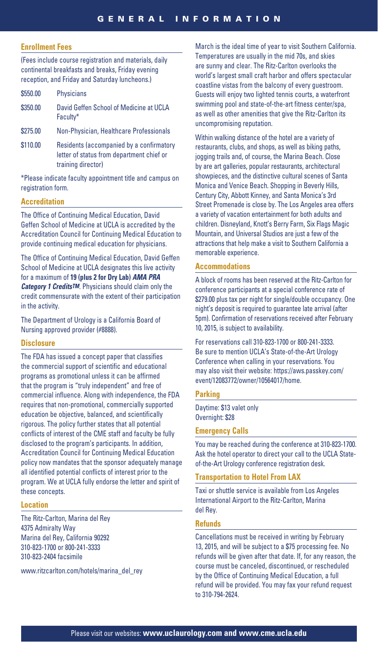#### **Enrollment Fees**

(Fees include course registration and materials, daily continental breakfasts and breaks, Friday evening reception, and Friday and Saturday luncheons.)

| \$550.00 | Physicians                                                                            |
|----------|---------------------------------------------------------------------------------------|
| \$350.00 | David Geffen School of Medicine at UCLA<br>Faculty*                                   |
| \$275.00 | Non-Physician, Healthcare Professionals                                               |
| \$110.00 | Residents (accompanied by a confirmatory<br>letter of status from department chief or |

training director)

\*Please indicate faculty appointment title and campus on registration form.

#### **Accreditation**

The Office of Continuing Medical Education, David Geffen School of Medicine at UCLA is accredited by the Accreditation Council for Continuing Medical Education to provide continuing medical education for physicians.

The Office of Continuing Medical Education, David Geffen School of Medicine at UCLA designates this live activity for a maximum of **19 (plus 2 for Dry Lab)** *AMA PRA Category 1 CreditsTM*. Physicians should claim only the credit commensurate with the extent of their participation in the activity.

The Department of Urology is a California Board of Nursing approved provider (#8888).

#### **Disclosure**

The FDA has issued a concept paper that classifies the commercial support of scientific and educational programs as promotional unless it can be affirmed that the program is "truly independent" and free of commercial influence. Along with independence, the FDA requires that non-promotional, commercially supported education be objective, balanced, and scientifically rigorous. The policy further states that all potential conflicts of interest of the CME staff and faculty be fully disclosed to the program's participants. In addition, Accreditation Council for Continuing Medical Education policy now mandates that the sponsor adequately manage all identified potential conflicts of interest prior to the program. We at UCLA fully endorse the letter and spirit of these concepts.

#### **Location**

The Ritz-Carlton, Marina del Rey 4375 Admiralty Way Marina del Rey, California 90292 310-823-1700 or 800-241-3333 310-823-2404 facsimile

www.ritzcarlton.com/hotels/marina\_del\_rey

March is the ideal time of year to visit Southern California. Temperatures are usually in the mid 70s, and skies are sunny and clear. The Ritz-Carlton overlooks the world's largest small craft harbor and offers spectacular coastline vistas from the balcony of every guestroom. Guests will enjoy two lighted tennis courts, a waterfront swimming pool and state-of-the-art fitness center/spa, as well as other amenities that give the Ritz-Carlton its uncompromising reputation.

Within walking distance of the hotel are a variety of restaurants, clubs, and shops, as well as biking paths, jogging trails and, of course, the Marina Beach. Close by are art galleries, popular restaurants, architectural showpieces, and the distinctive cultural scenes of Santa Monica and Venice Beach. Shopping in Beverly Hills, Century City, Abbott Kinney, and Santa Monica's 3rd Street Promenade is close by. The Los Angeles area offers a variety of vacation entertainment for both adults and children. Disneyland, Knott's Berry Farm, Six Flags Magic Mountain, and Universal Studios are just a few of the attractions that help make a visit to Southern California a memorable experience.

#### **Accommodations**

A block of rooms has been reserved at the Ritz-Carlton for conference participants at a special conference rate of \$279.00 plus tax per night for single/double occupancy. One night's deposit is required to guarantee late arrival (after 5pm). Confirmation of reservations received after February 10, 2015, is subject to availability.

For reservations call 310-823-1700 or 800-241-3333. Be sure to mention UCLA's State-of-the-Art Urology Conference when calling in your reservations. You may also visit their website: https://aws.passkey.com/ event/12083772/owner/10564017/home.

#### **Parking**

Daytime: \$13 valet only Overnight: \$28

#### **Emergency Calls**

You may be reached during the conference at 310-823-1700. Ask the hotel operator to direct your call to the UCLA Stateof-the-Art Urology conference registration desk.

#### **Transportation to Hotel From LAX**

Taxi or shuttle service is available from Los Angeles International Airport to the Ritz-Carlton, Marina del Rey.

#### **Refunds**

Cancellations must be received in writing by February 13, 2015, and will be subject to a \$75 processing fee. No refunds will be given after that date. If, for any reason, the course must be canceled, discontinued, or rescheduled by the Office of Continuing Medical Education, a full refund will be provided. You may fax your refund request to 310-794-2624.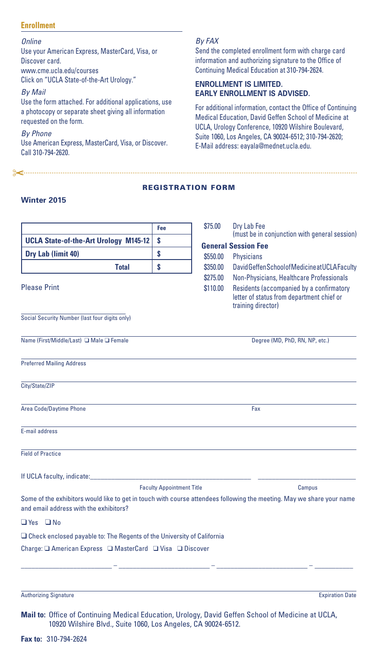#### **Enrollment**

*Online* Use your American Express, MasterCard, Visa, or Discover card. www.cme.ucla.edu/courses Click on "UCLA State-of-the-Art Urology."

*By Mail*

Use the form attached. For additional applications, use a photocopy or separate sheet giving all information requested on the form.

*By Phone* Use American Express, MasterCard, Visa, or Discover. Call 310-794-2620.

<u>"Secondination communication communication communication communication communication communication</u>

#### *By FAX*

Send the completed enrollment form with charge card information and authorizing signature to the Office of Continuing Medical Education at 310-794-2624.

#### **ENROLLMENT IS LIMITED. EARLY ENROLLMENT IS ADVISED.**

For additional information, contact the Office of Continuing Medical Education, David Geffen School of Medicine at UCLA, Urology Conference, 10920 Wilshire Boulevard, Suite 1060, Los Angeles, CA 90024-6512; 310-794-2620; E-Mail address: eayala@mednet.ucla.edu.

#### REGISTRATION FORM

#### **Winter 2015**

|                                                                                                                                                                     | Fee                              | \$75.00              | Dry Lab Fee<br>(must be in conjunction with general session)                                                                                            |
|---------------------------------------------------------------------------------------------------------------------------------------------------------------------|----------------------------------|----------------------|---------------------------------------------------------------------------------------------------------------------------------------------------------|
| <b>UCLA State-of-the-Art Urology M145-12</b>                                                                                                                        | \$                               |                      | <b>General Session Fee</b>                                                                                                                              |
| Dry Lab (limit 40)                                                                                                                                                  | \$                               | \$550.00             | Physicians                                                                                                                                              |
| <b>Total</b>                                                                                                                                                        | \$                               | \$350.00             | David Geffen School of Medicine at UCLA Faculty                                                                                                         |
| <b>Please Print</b>                                                                                                                                                 |                                  | \$275.00<br>\$110.00 | Non-Physicians, Healthcare Professionals<br>Residents (accompanied by a confirmatory<br>letter of status from department chief or<br>training director) |
| Social Security Number (last four digits only)                                                                                                                      |                                  |                      |                                                                                                                                                         |
| Name (First/Middle/Last) □ Male □ Female                                                                                                                            |                                  |                      | Degree (MD, PhD, RN, NP, etc.)                                                                                                                          |
| <b>Preferred Mailing Address</b>                                                                                                                                    |                                  |                      |                                                                                                                                                         |
| City/State/ZIP                                                                                                                                                      |                                  |                      |                                                                                                                                                         |
| Area Code/Daytime Phone                                                                                                                                             |                                  |                      | Fax                                                                                                                                                     |
| E-mail address                                                                                                                                                      |                                  |                      |                                                                                                                                                         |
| <b>Field of Practice</b>                                                                                                                                            |                                  |                      |                                                                                                                                                         |
| If UCLA faculty, indicate:                                                                                                                                          |                                  |                      |                                                                                                                                                         |
|                                                                                                                                                                     | <b>Faculty Appointment Title</b> |                      | Campus                                                                                                                                                  |
| Some of the exhibitors would like to get in touch with course attendees following the meeting. May we share your name<br>and email address with the exhibitors?     |                                  |                      |                                                                                                                                                         |
| $\Box$ Yes $\Box$ No                                                                                                                                                |                                  |                      |                                                                                                                                                         |
| $\Box$ Check enclosed payable to: The Regents of the University of California                                                                                       |                                  |                      |                                                                                                                                                         |
|                                                                                                                                                                     |                                  |                      |                                                                                                                                                         |
|                                                                                                                                                                     |                                  |                      |                                                                                                                                                         |
| <b>Authorizing Signature</b>                                                                                                                                        |                                  |                      | <b>Expiration Date</b>                                                                                                                                  |
| Mail to: Office of Continuing Medical Education, Urology, David Geffen School of Medicine at UCLA,<br>10920 Wilshire Blvd., Suite 1060, Los Angeles, CA 90024-6512. |                                  |                      |                                                                                                                                                         |